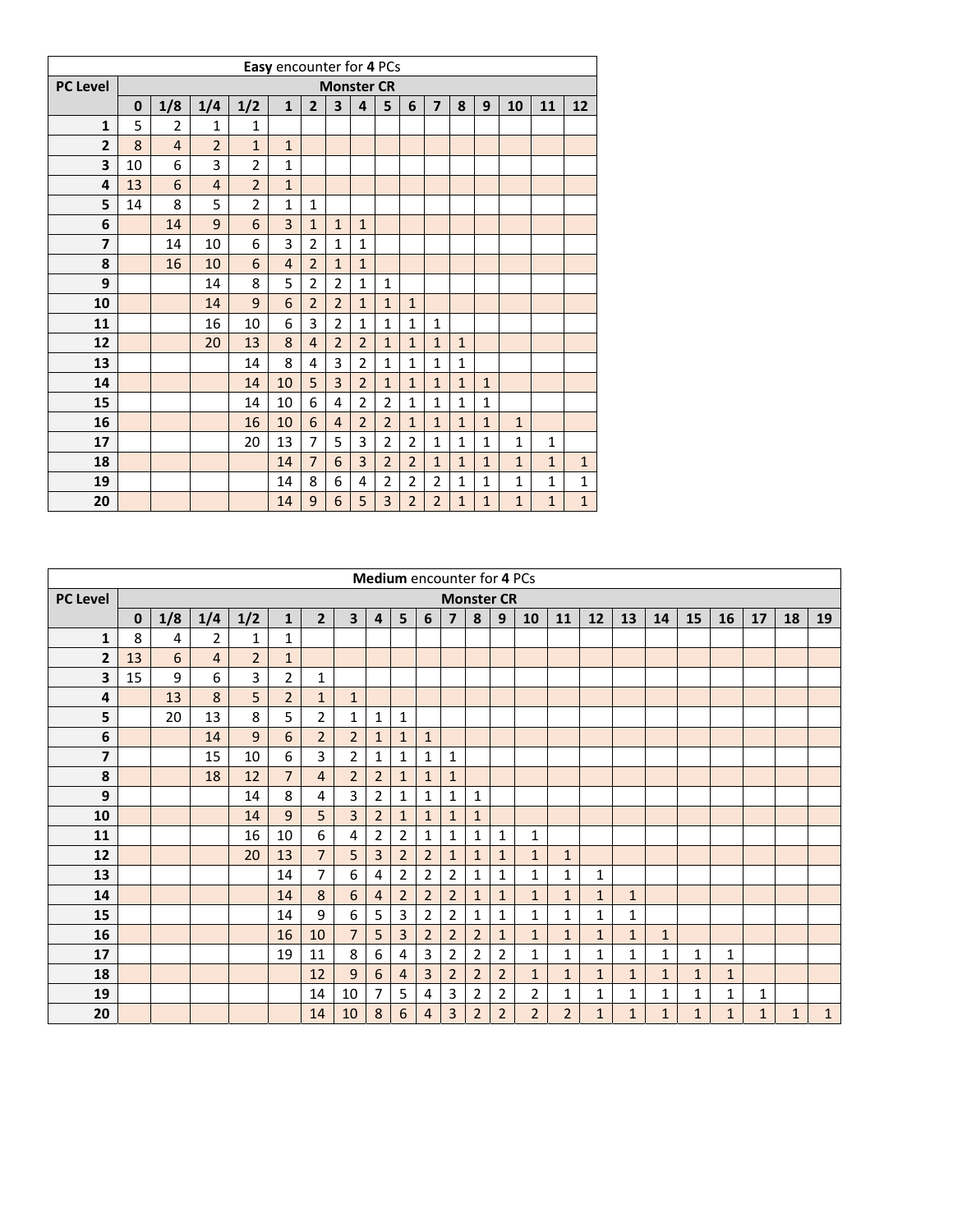|                 |          |                |                |                | Easy encounter for 4 PCs |                |                         |                |                |                |                |              |              |              |              |              |
|-----------------|----------|----------------|----------------|----------------|--------------------------|----------------|-------------------------|----------------|----------------|----------------|----------------|--------------|--------------|--------------|--------------|--------------|
| <b>PC Level</b> |          |                |                |                |                          |                | <b>Monster CR</b>       |                |                |                |                |              |              |              |              |              |
|                 | $\bf{0}$ | 1/8            | 1/4            | 1/2            | $\mathbf{1}$             | $\overline{2}$ | $\overline{\mathbf{3}}$ | $\overline{4}$ | 5              | 6              | $\overline{7}$ | 8            | 9            | 10           | 11           | 12           |
| $\mathbf{1}$    | 5        | $\overline{2}$ | 1              | $\mathbf{1}$   |                          |                |                         |                |                |                |                |              |              |              |              |              |
| $\overline{2}$  | 8        | $\overline{4}$ | $\overline{2}$ | $\mathbf{1}$   | $\mathbf{1}$             |                |                         |                |                |                |                |              |              |              |              |              |
| 3               | 10       | 6              | 3              | $\overline{2}$ | $\mathbf{1}$             |                |                         |                |                |                |                |              |              |              |              |              |
| 4               | 13       | 6              | $\overline{4}$ | $\overline{2}$ | $\mathbf{1}$             |                |                         |                |                |                |                |              |              |              |              |              |
| 5               | 14       | 8              | 5              | $\overline{2}$ | $\mathbf{1}$             | $\mathbf 1$    |                         |                |                |                |                |              |              |              |              |              |
| 6               |          | 14             | 9              | 6              | 3                        | $\mathbf{1}$   | $\mathbf{1}$            | $\mathbf{1}$   |                |                |                |              |              |              |              |              |
| $\overline{7}$  |          | 14             | 10             | 6              | 3                        | $\overline{2}$ | $\mathbf{1}$            | $\mathbf{1}$   |                |                |                |              |              |              |              |              |
| 8               |          | 16             | 10             | 6              | $\overline{4}$           | $\overline{2}$ | $\mathbf{1}$            | $\mathbf{1}$   |                |                |                |              |              |              |              |              |
| 9               |          |                | 14             | 8              | 5                        | $\overline{2}$ | $\overline{2}$          | $\mathbf{1}$   | $\mathbf{1}$   |                |                |              |              |              |              |              |
| 10              |          |                | 14             | 9              | 6                        | $\overline{2}$ | $\overline{2}$          | $\mathbf{1}$   | $\mathbf{1}$   | $\mathbf{1}$   |                |              |              |              |              |              |
| 11              |          |                | 16             | 10             | 6                        | 3              | $\overline{2}$          | $\mathbf{1}$   | $\mathbf{1}$   | $\mathbf{1}$   | $\mathbf{1}$   |              |              |              |              |              |
| 12              |          |                | 20             | 13             | 8                        | $\overline{4}$ | $\overline{2}$          | $\overline{2}$ | $\overline{1}$ | $\mathbf{1}$   | $\mathbf{1}$   | $\mathbf 1$  |              |              |              |              |
| 13              |          |                |                | 14             | 8                        | 4              | 3                       | $\overline{2}$ | $\overline{1}$ | $\mathbf{1}$   | $\mathbf{1}$   | $\mathbf 1$  |              |              |              |              |
| 14              |          |                |                | 14             | 10                       | 5              | 3                       | $\overline{2}$ | $\mathbf{1}$   | $\mathbf{1}$   | $\mathbf{1}$   | $\mathbf{1}$ | $\mathbf{1}$ |              |              |              |
| 15              |          |                |                | 14             | 10                       | 6              | 4                       | $\overline{2}$ | 2              | $\mathbf{1}$   | $\mathbf{1}$   | $\mathbf 1$  | $\mathbf{1}$ |              |              |              |
| 16              |          |                |                | 16             | 10                       | 6              | $\overline{4}$          | $\overline{2}$ | $\overline{2}$ | $\mathbf{1}$   | $\mathbf{1}$   | $\mathbf{1}$ | $\mathbf{1}$ | $\mathbf{1}$ |              |              |
| 17              |          |                |                | 20             | 13                       | $\overline{7}$ | 5                       | 3              | $\overline{2}$ | $\overline{2}$ | $\mathbf{1}$   | $\mathbf 1$  | $\mathbf{1}$ | $\mathbf{1}$ | 1            |              |
| 18              |          |                |                |                | 14                       | $\overline{7}$ | 6                       | 3              | $\overline{2}$ | $\overline{2}$ | $\mathbf{1}$   | $\mathbf{1}$ | $\mathbf{1}$ | $\mathbf{1}$ | $\mathbf{1}$ | $\mathbf{1}$ |
| 19              |          |                |                |                | 14                       | 8              | 6                       | 4              | 2              | $\overline{2}$ | $\overline{2}$ | $\mathbf{1}$ | $\mathbf{1}$ | $\mathbf{1}$ | $\mathbf{1}$ | $\mathbf{1}$ |
| 20              |          |                |                |                | 14                       | 9              | 6                       | 5              | 3              | $\overline{2}$ | $\overline{2}$ | $\mathbf{1}$ | $\mathbf{1}$ | $\mathbf 1$  | $\mathbf{1}$ | $\mathbf{1}$ |

|                         |             |     |                |                |                |                |                         |                |                | Medium encounter for 4 PCs |                |                   |                |                |                |              |              |              |              |              |              |              |              |
|-------------------------|-------------|-----|----------------|----------------|----------------|----------------|-------------------------|----------------|----------------|----------------------------|----------------|-------------------|----------------|----------------|----------------|--------------|--------------|--------------|--------------|--------------|--------------|--------------|--------------|
| <b>PC Level</b>         |             |     |                |                |                |                |                         |                |                |                            |                | <b>Monster CR</b> |                |                |                |              |              |              |              |              |              |              |              |
|                         | $\mathbf 0$ | 1/8 | 1/4            | 1/2            | $\mathbf{1}$   | $\overline{2}$ | $\overline{\mathbf{3}}$ | 4              | 5              | 6                          | $\overline{7}$ | 8                 | 9              | 10             | 11             | 12           | 13           | 14           | 15           | 16           | 17           | 18           | 19           |
| 1                       | 8           | 4   | $\overline{2}$ | 1              | $\mathbf{1}$   |                |                         |                |                |                            |                |                   |                |                |                |              |              |              |              |              |              |              |              |
| $\overline{2}$          | 13          | 6   | $\overline{4}$ | $\overline{2}$ | $\mathbf{1}$   |                |                         |                |                |                            |                |                   |                |                |                |              |              |              |              |              |              |              |              |
| 3                       | 15          | 9   | 6              | 3              | $\overline{2}$ | $\mathbf{1}$   |                         |                |                |                            |                |                   |                |                |                |              |              |              |              |              |              |              |              |
| 4                       |             | 13  | 8              | 5              | $\overline{2}$ | $\mathbf{1}$   | $\mathbf{1}$            |                |                |                            |                |                   |                |                |                |              |              |              |              |              |              |              |              |
| 5                       |             | 20  | 13             | 8              | 5              | 2              | $\mathbf{1}$            | $\mathbf{1}$   | $\mathbf{1}$   |                            |                |                   |                |                |                |              |              |              |              |              |              |              |              |
| 6                       |             |     | 14             | 9              | 6              | $\overline{2}$ | $\overline{2}$          | $\mathbf{1}$   | $\mathbf{1}$   | $\mathbf{1}$               |                |                   |                |                |                |              |              |              |              |              |              |              |              |
| $\overline{\mathbf{z}}$ |             |     | 15             | 10             | 6              | 3              | $\overline{2}$          | $\mathbf{1}$   | $\mathbf{1}$   | 1                          | $\mathbf{1}$   |                   |                |                |                |              |              |              |              |              |              |              |              |
| 8                       |             |     | 18             | 12             | $\overline{7}$ | $\overline{4}$ | $\overline{2}$          | $\overline{2}$ | $\mathbf{1}$   | $\mathbf{1}$               | $\mathbf{1}$   |                   |                |                |                |              |              |              |              |              |              |              |              |
| 9                       |             |     |                | 14             | 8              | 4              | 3                       | $\overline{2}$ | 1              | 1                          | 1              | 1                 |                |                |                |              |              |              |              |              |              |              |              |
| 10                      |             |     |                | 14             | 9              | 5              | $\overline{3}$          | $\overline{2}$ | $\mathbf{1}$   | $\mathbf{1}$               | $\mathbf{1}$   | $\mathbf{1}$      |                |                |                |              |              |              |              |              |              |              |              |
| 11                      |             |     |                | 16             | 10             | 6              | 4                       | $\overline{2}$ | $\overline{2}$ | $\mathbf{1}$               | 1              | 1                 | $\mathbf{1}$   | $\mathbf{1}$   |                |              |              |              |              |              |              |              |              |
| 12                      |             |     |                | 20             | 13             | $\overline{7}$ | 5                       | 3              | $\overline{2}$ | $\overline{2}$             | $\mathbf{1}$   | $\mathbf{1}$      | $\mathbf{1}$   | $\mathbf{1}$   | $\mathbf{1}$   |              |              |              |              |              |              |              |              |
| 13                      |             |     |                |                | 14             | 7              | 6                       | $\overline{4}$ | $\overline{2}$ | $\overline{2}$             | $\overline{2}$ | 1                 | 1              | 1              | 1              | 1            |              |              |              |              |              |              |              |
| 14                      |             |     |                |                | 14             | 8              | 6                       | $\overline{4}$ | $\overline{2}$ | $\overline{2}$             | $\overline{2}$ | $\mathbf{1}$      | $\mathbf{1}$   | $\mathbf{1}$   | $\mathbf{1}$   | $\mathbf{1}$ | $\mathbf{1}$ |              |              |              |              |              |              |
| 15                      |             |     |                |                | 14             | 9              | 6                       | 5              | 3              | $\overline{2}$             | 2              | 1                 | 1              | $\mathbf{1}$   | 1              | 1            | 1            |              |              |              |              |              |              |
| 16                      |             |     |                |                | 16             | 10             | $\overline{7}$          | 5              | 3              | $\overline{2}$             | $\overline{2}$ | $\overline{2}$    | $\mathbf{1}$   | $\mathbf{1}$   | $\mathbf{1}$   | 1            | $\mathbf{1}$ | $\mathbf{1}$ |              |              |              |              |              |
| 17                      |             |     |                |                | 19             | 11             | 8                       | 6              | 4              | 3                          | $\overline{2}$ | $\overline{2}$    | $\overline{2}$ | $\mathbf{1}$   | 1              | 1            | 1            | $\mathbf{1}$ | 1            | 1            |              |              |              |
| 18                      |             |     |                |                |                | 12             | 9                       | 6              | $\overline{4}$ | 3                          | $\overline{2}$ | $\overline{2}$    | $\overline{2}$ | $\mathbf{1}$   | $\mathbf{1}$   | $\mathbf{1}$ | $\mathbf{1}$ | $\mathbf{1}$ | $\mathbf{1}$ | $\mathbf{1}$ |              |              |              |
| 19                      |             |     |                |                |                | 14             | 10                      | 7              | 5              | 4                          | 3              | $\overline{2}$    | $\overline{2}$ | $\overline{2}$ | $\mathbf{1}$   | 1            | 1            | 1            | $\mathbf{1}$ | $\mathbf{1}$ | $\mathbf{1}$ |              |              |
| 20                      |             |     |                |                |                | 14             | 10                      | 8              | 6              | $\overline{4}$             | 3              | $\overline{2}$    | $\overline{2}$ | $\overline{2}$ | $\overline{2}$ | $\mathbf{1}$ | $\mathbf{1}$ | $\mathbf{1}$ | $\mathbf{1}$ | $\mathbf{1}$ | $\mathbf{1}$ | $\mathbf{1}$ | $\mathbf{1}$ |